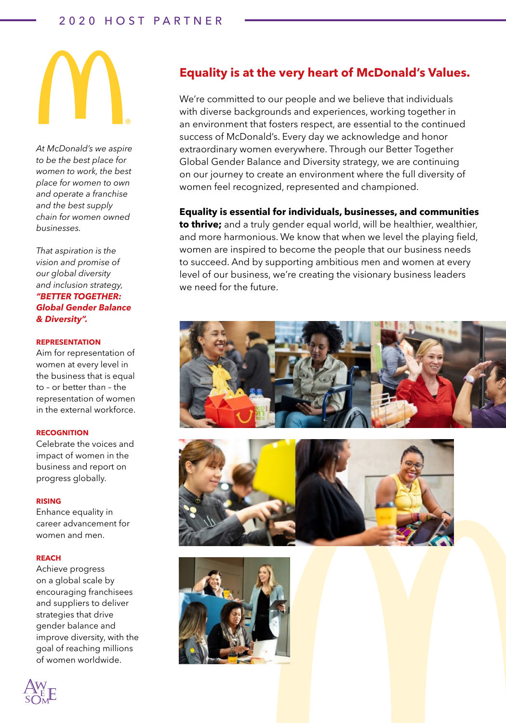# 2020 HOST PARTNER



*At McDonald's we aspire to be the best place for women to work, the best place for women to own and operate a franchise and the best supply chain for women owned businesses.* 

*That aspiration is the vision and promise of our global diversity and inclusion strategy, "BETTER TOGETHER: Global Gender Balance & Diversity".*

## **REPRESENTATION**

Aim for representation of women at every level in the business that is equal to – or better than – the representation of women in the external workforce.

# **RECOGNITION**

Celebrate the voices and impact of women in the business and report on progress globally.

#### **RISING**

Enhance equality in career advancement for women and men.

## **REACH**

Achieve progress on a global scale by encouraging franchisees and suppliers to deliver strategies that drive gender balance and improve diversity, with the goal of reaching millions of women worldwide.



We're committed to our people and we believe that individuals with diverse backgrounds and experiences, working together in an environment that fosters respect, are essential to the continued success of McDonald's. Every day we acknowledge and honor extraordinary women everywhere. Through our Better Together Global Gender Balance and Diversity strategy, we are continuing on our journey to create an environment where the full diversity of women feel recognized, represented and championed.

# **Equality is essential for individuals, businesses, and communities**

**to thrive;** and a truly gender equal world, will be healthier, wealthier, and more harmonious. We know that when we level the playing field, women are inspired to become the people that our business needs to succeed. And by supporting ambitious men and women at every level of our business, we're creating the visionary business leaders we need for the future.